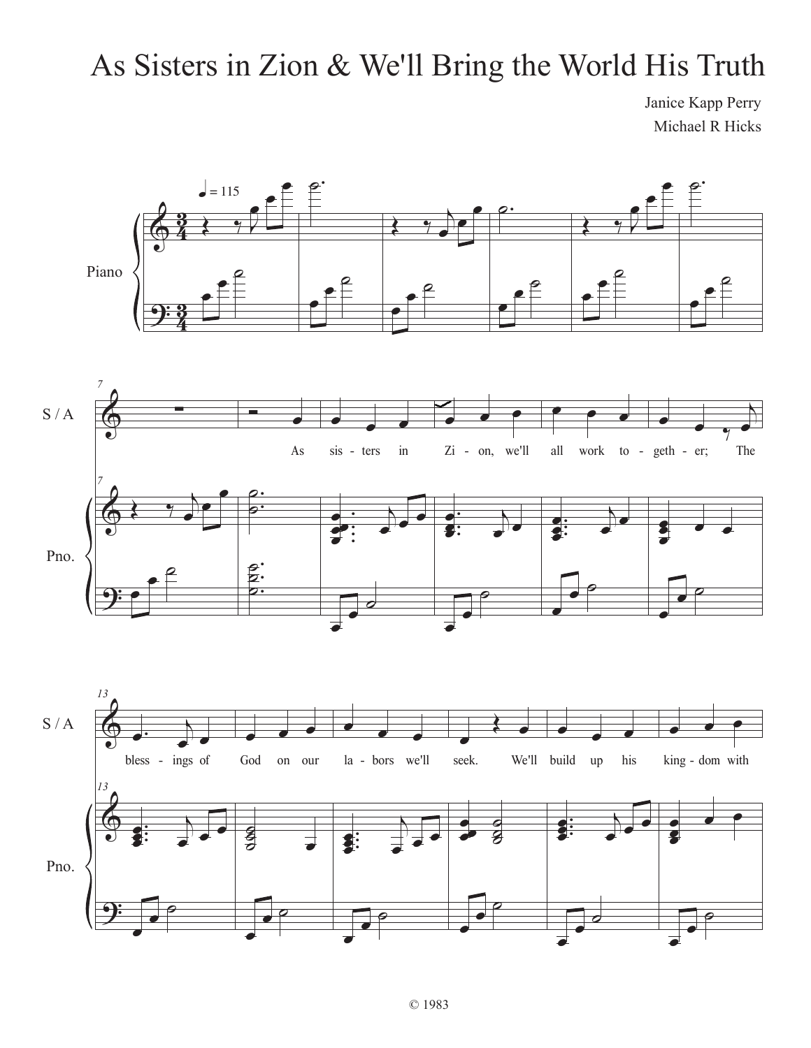## As Sisters in Zion & We'll Bring the World His Truth

Janice Kapp Perry Michael R Hicks

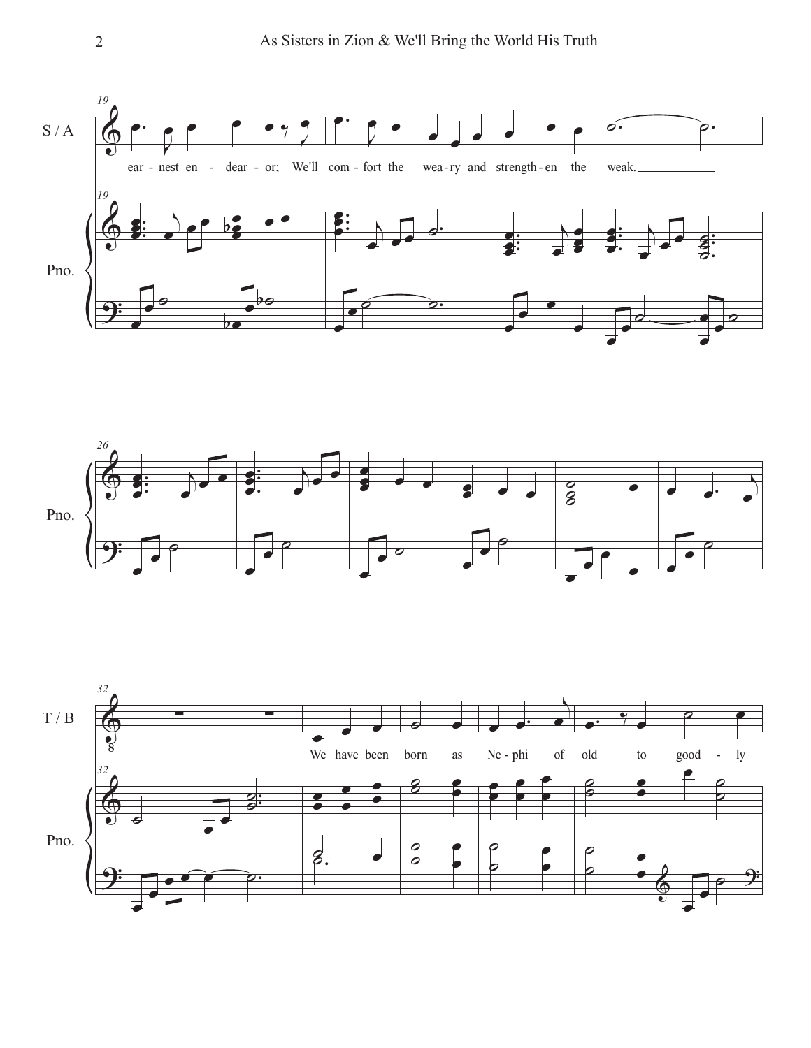



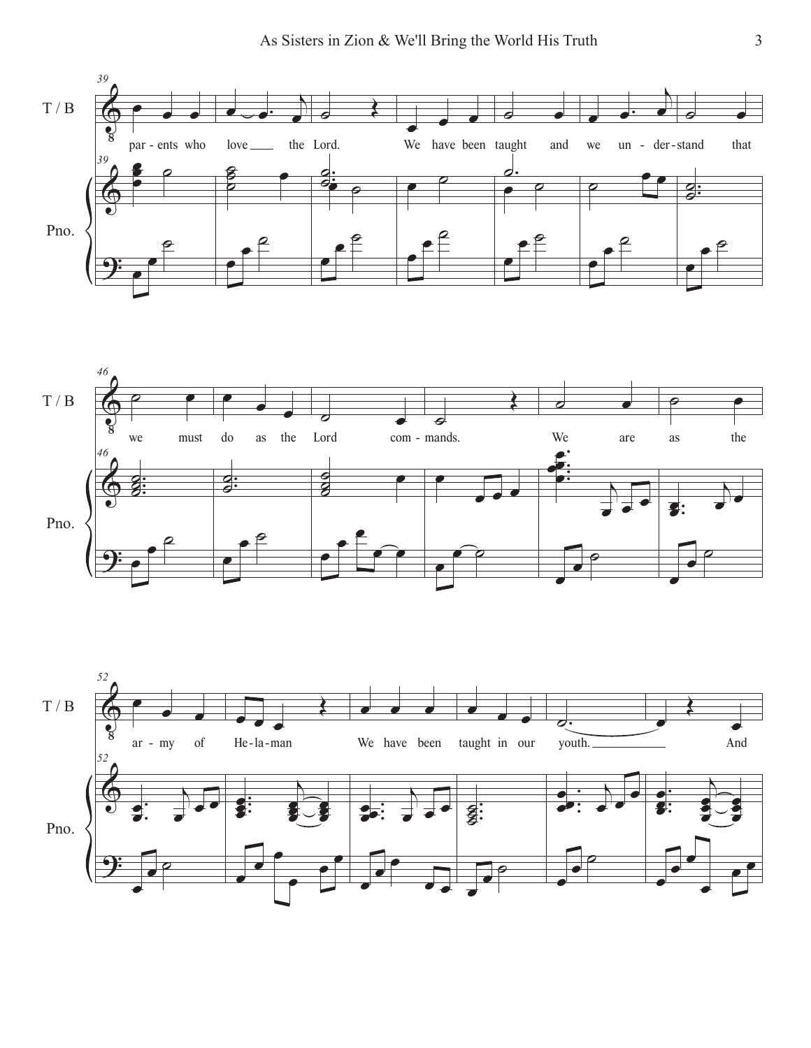



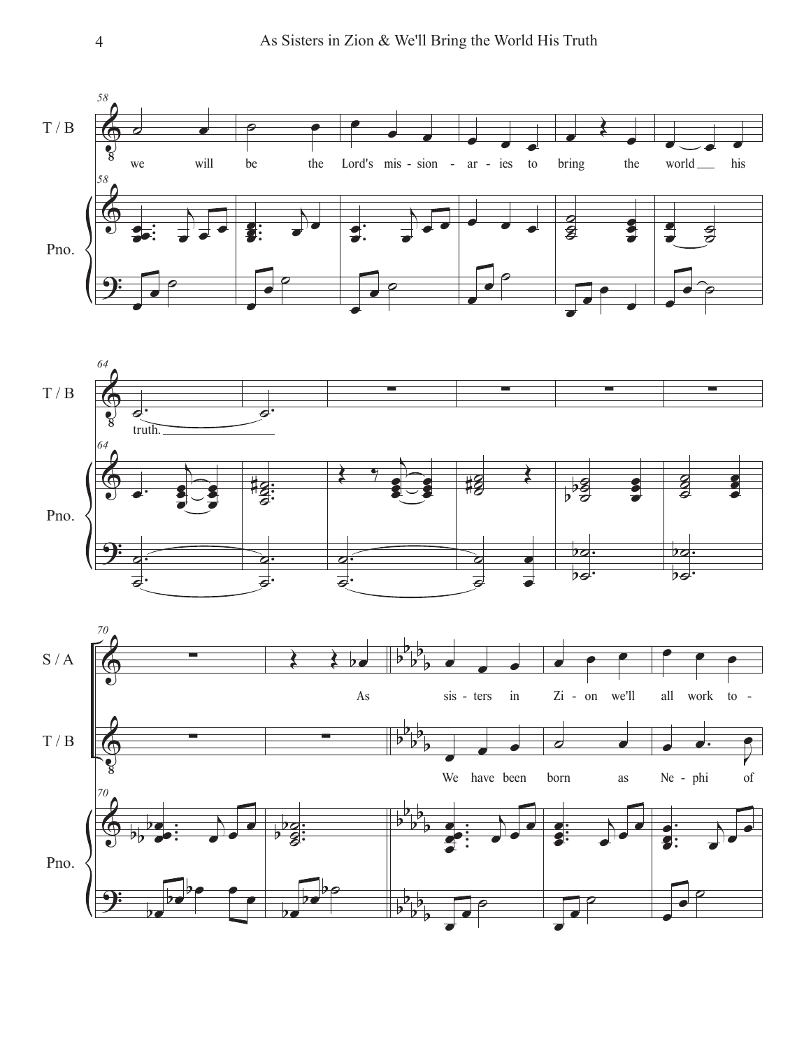



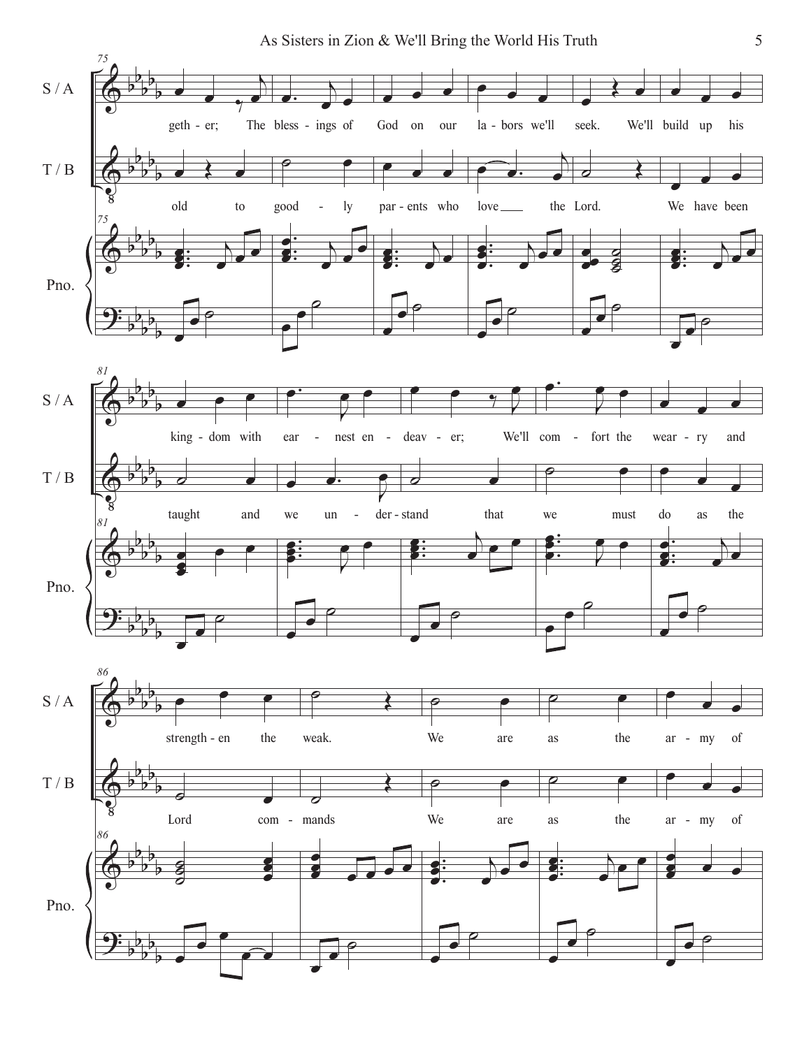